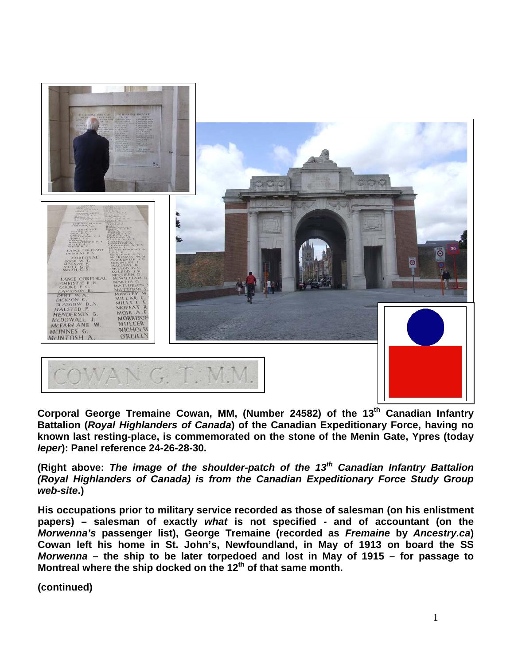

**Corporal George Tremaine Cowan, MM, (Number 24582) of the 13th Canadian Infantry Battalion (***Royal Highlanders of Canada***) of the Canadian Expeditionary Force, having no known last resting-place, is commemorated on the stone of the Menin Gate, Ypres (today**  *Ieper***): Panel reference 24-26-28-30.**

**(Right above:** *The image of the shoulder-patch of the 13th Canadian Infantry Battalion (Royal Highlanders of Canada) is from the Canadian Expeditionary Force Study Group web-site***.)**

**His occupations prior to military service recorded as those of salesman (on his enlistment papers) – salesman of exactly** *what* **is not specified - and of accountant (on the**  *Morwenna's* **passenger list), George Tremaine (recorded as** *Fremaine* **by** *Ancestry.ca***) Cowan left his home in St. John's, Newfoundland, in May of 1913 on board the SS**  *Morwenna* **– the ship to be later torpedoed and lost in May of 1915 – for passage to Montreal where the ship docked on the 12th of that same month.**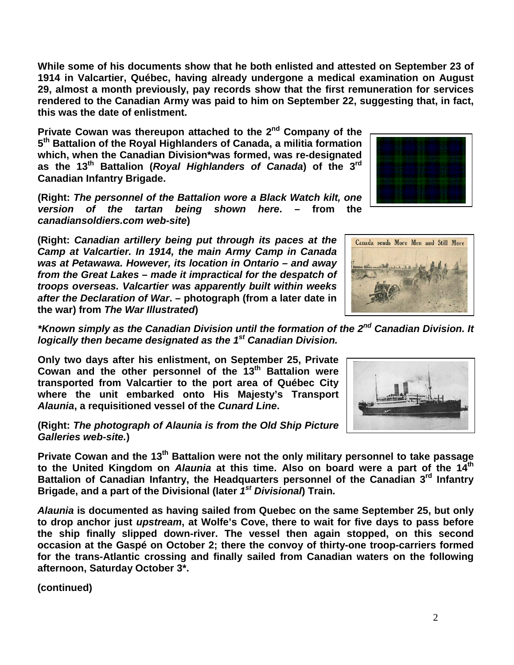**While some of his documents show that he both enlisted and attested on September 23 of 1914 in Valcartier, Québec, having already undergone a medical examination on August 29, almost a month previously, pay records show that the first remuneration for services rendered to the Canadian Army was paid to him on September 22, suggesting that, in fact, this was the date of enlistment.**

**Private Cowan was thereupon attached to the 2nd Company of the 5th Battalion of the Royal Highlanders of Canada, a militia formation which, when the Canadian Division\*was formed, was re-designated as the 13th Battalion (***Royal Highlanders of Canada***) of the 3rd Canadian Infantry Brigade.** 

**(Right:** *The personnel of the Battalion wore a Black Watch kilt, one version of the tartan being shown here***. – from the**  *canadiansoldiers.com web-site***)**

**(Right:** *Canadian artillery being put through its paces at the Camp at Valcartier. In 1914, the main Army Camp in Canada was at Petawawa. However, its location in Ontario – and away from the Great Lakes – made it impractical for the despatch of troops overseas. Valcartier was apparently built within weeks after the Declaration of War***. – photograph (from a later date in the war) from** *The War Illustrated***)** 

*\*Known simply as the Canadian Division until the formation of the 2nd Canadian Division. It logically then became designated as the 1st Canadian Division.* 

**Only two days after his enlistment, on September 25, Private Cowan and the other personnel of the 13th Battalion were transported from Valcartier to the port area of Québec City where the unit embarked onto His Majesty's Transport**  *Alaunia***, a requisitioned vessel of the** *Cunard Line***.** 

**(Right:** *The photograph of Alaunia is from the Old Ship Picture Galleries web-site.***)**

Private Cowan and the 13<sup>th</sup> Battalion were not the only military personnel to take passage **to the United Kingdom on** *Alaunia* **at this time. Also on board were a part of the 14th Battalion of Canadian Infantry, the Headquarters personnel of the Canadian 3rd Infantry Brigade, and a part of the Divisional (later** *1st Divisional***) Train.**

*Alaunia* **is documented as having sailed from Quebec on the same September 25, but only to drop anchor just** *upstream***, at Wolfe's Cove, there to wait for five days to pass before the ship finally slipped down-river. The vessel then again stopped, on this second occasion at the Gaspé on October 2; there the convoy of thirty-one troop-carriers formed for the trans-Atlantic crossing and finally sailed from Canadian waters on the following afternoon, Saturday October 3\*.**





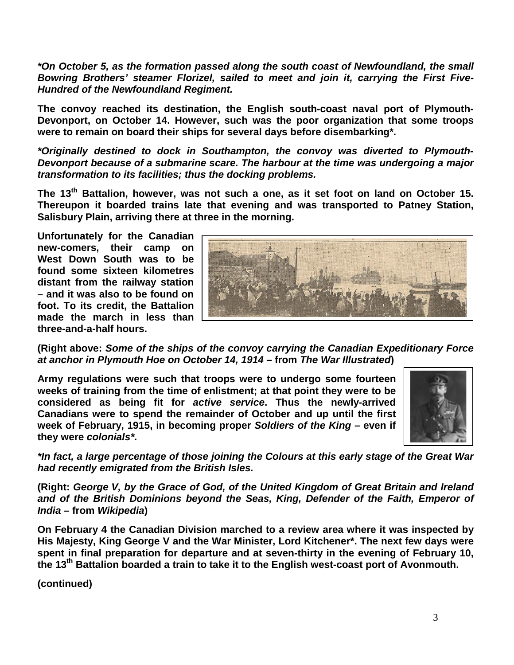*\*On October 5, as the formation passed along the south coast of Newfoundland, the small Bowring Brothers' steamer Florizel, sailed to meet and join it, carrying the First Five-Hundred of the Newfoundland Regiment.*

**The convoy reached its destination, the English south-coast naval port of Plymouth-Devonport, on October 14. However, such was the poor organization that some troops were to remain on board their ships for several days before disembarking\*.**

*\*Originally destined to dock in Southampton, the convoy was diverted to Plymouth-Devonport because of a submarine scare. The harbour at the time was undergoing a major transformation to its facilities; thus the docking problems.*

**The 13th Battalion, however, was not such a one, as it set foot on land on October 15. Thereupon it boarded trains late that evening and was transported to Patney Station, Salisbury Plain, arriving there at three in the morning.**

**Unfortunately for the Canadian new-comers, their camp on West Down South was to be found some sixteen kilometres distant from the railway station – and it was also to be found on foot. To its credit, the Battalion made the march in less than three-and-a-half hours.**



**(Right above:** *Some of the ships of the convoy carrying the Canadian Expeditionary Force at anchor in Plymouth Hoe on October 14, 1914* **– from** *The War Illustrated***)**

**Army regulations were such that troops were to undergo some fourteen weeks of training from the time of enlistment; at that point they were to be considered as being fit for** *active service***. Thus the newly-arrived Canadians were to spend the remainder of October and up until the first week of February, 1915, in becoming proper** *Soldiers of the King* **– even if they were** *colonials\****.**



*\*In fact, a large percentage of those joining the Colours at this early stage of the Great War had recently emigrated from the British Isles.*

**(Right:** *George V, by the Grace of God, of the United Kingdom of Great Britain and Ireland and of the British Dominions beyond the Seas, King, Defender of the Faith, Emperor of India* **– from** *Wikipedia***)**

**On February 4 the Canadian Division marched to a review area where it was inspected by His Majesty, King George V and the War Minister, Lord Kitchener\*. The next few days were spent in final preparation for departure and at seven-thirty in the evening of February 10, the 13th Battalion boarded a train to take it to the English west-coast port of Avonmouth.**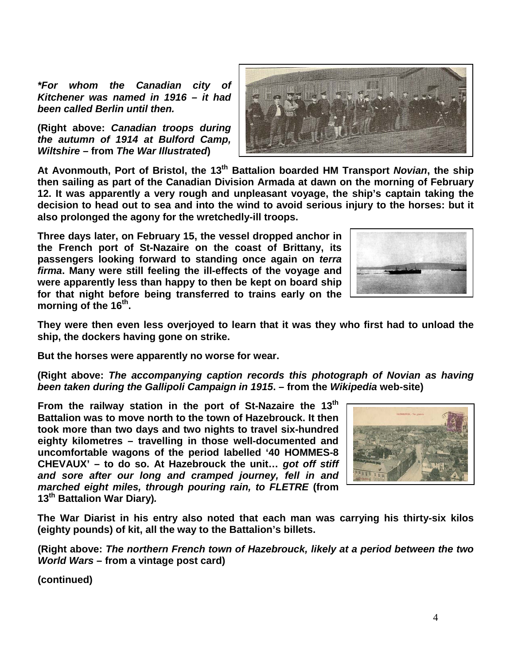*\*For whom the Canadian city of Kitchener was named in 1916 – it had been called Berlin until then.*

**(Right above:** *Canadian troops during the autumn of 1914 at Bulford Camp, Wiltshire* **– from** *The War Illustrated***)**

**At Avonmouth, Port of Bristol, the 13th Battalion boarded HM Transport** *Novian***, the ship then sailing as part of the Canadian Division Armada at dawn on the morning of February 12. It was apparently a very rough and unpleasant voyage, the ship's captain taking the decision to head out to sea and into the wind to avoid serious injury to the horses: but it also prolonged the agony for the wretchedly-ill troops.** 

**Three days later, on February 15, the vessel dropped anchor in the French port of St-Nazaire on the coast of Brittany, its passengers looking forward to standing once again on** *terra firma***. Many were still feeling the ill-effects of the voyage and were apparently less than happy to then be kept on board ship for that night before being transferred to trains early on the**  morning of the 16<sup>th</sup>.

**They were then even less overjoyed to learn that it was they who first had to unload the ship, the dockers having gone on strike.** 

**But the horses were apparently no worse for wear.**

**(Right above:** *The accompanying caption records this photograph of Novian as having been taken during the Gallipoli Campaign in 1915***. – from the** *Wikipedia* **web-site)**

From the railway station in the port of St-Nazaire the 13<sup>th</sup> **Battalion was to move north to the town of Hazebrouck. It then took more than two days and two nights to travel six-hundred eighty kilometres – travelling in those well-documented and uncomfortable wagons of the period labelled '40 HOMMES-8 CHEVAUX' – to do so. At Hazebrouck the unit…** *got off stiff and sore after our long and cramped journey, fell in and marched eight miles, through pouring rain, to FLETRE* **(from 13th Battalion War Diary)***.*

**The War Diarist in his entry also noted that each man was carrying his thirty-six kilos (eighty pounds) of kit, all the way to the Battalion's billets.**

**(Right above:** *The northern French town of Hazebrouck, likely at a period between the two World Wars* **– from a vintage post card)**





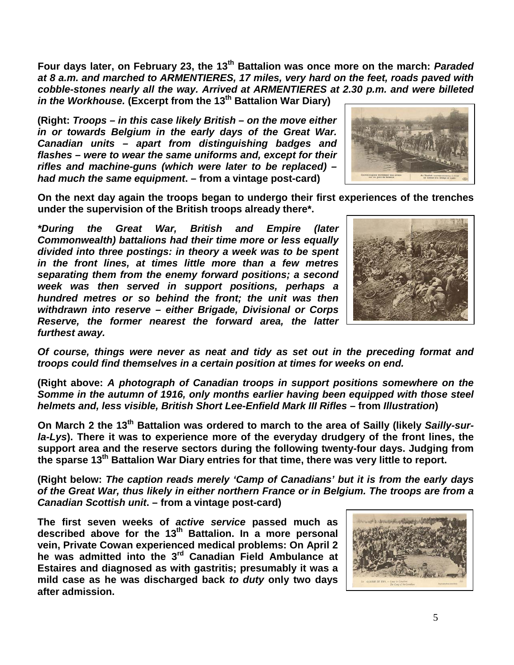**Four days later, on February 23, the 13th Battalion was once more on the march:** *Paraded at 8 a.m. and marched to ARMENTIERES, 17 miles, very hard on the feet, roads paved with cobble-stones nearly all the way. Arrived at ARMENTIERES at 2.30 p.m. and were billeted in the Workhouse.* **(Excerpt from the 13th Battalion War Diary)**

**(Right:** *Troops – in this case likely British – on the move either in or towards Belgium in the early days of the Great War. Canadian units – apart from distinguishing badges and flashes – were to wear the same uniforms and, except for their rifles and machine-guns (which were later to be replaced) – had much the same equipment***. – from a vintage post-card)**



**On the next day again the troops began to undergo their first experiences of the trenches under the supervision of the British troops already there\*.**

*\*During the Great War, British and Empire (later Commonwealth) battalions had their time more or less equally divided into three postings: in theory a week was to be spent in the front lines, at times little more than a few metres separating them from the enemy forward positions; a second week was then served in support positions, perhaps a hundred metres or so behind the front; the unit was then withdrawn into reserve – either Brigade, Divisional or Corps Reserve, the former nearest the forward area, the latter furthest away.* 



*Of course, things were never as neat and tidy as set out in the preceding format and troops could find themselves in a certain position at times for weeks on end.*

**(Right above:** *A photograph of Canadian troops in support positions somewhere on the Somme in the autumn of 1916, only months earlier having been equipped with those steel*  **helmets and, less visible, British Short Lee-Enfield Mark III Rifles - from Illustration)** 

On March 2 the 13<sup>th</sup> Battalion was ordered to march to the area of Sailly (likely Sailly-sur*la-Lys***). There it was to experience more of the everyday drudgery of the front lines, the support area and the reserve sectors during the following twenty-four days. Judging from the sparse 13th Battalion War Diary entries for that time, there was very little to report.**

**(Right below:** *The caption reads merely 'Camp of Canadians' but it is from the early days of the Great War, thus likely in either northern France or in Belgium. The troops are from a Canadian Scottish unit***. – from a vintage post-card)**

**The first seven weeks of** *active service* **passed much as described above for the 13th Battalion. In a more personal vein, Private Cowan experienced medical problems: On April 2 he was admitted into the 3rd Canadian Field Ambulance at Estaires and diagnosed as with gastritis; presumably it was a mild case as he was discharged back** *to duty* **only two days after admission.**

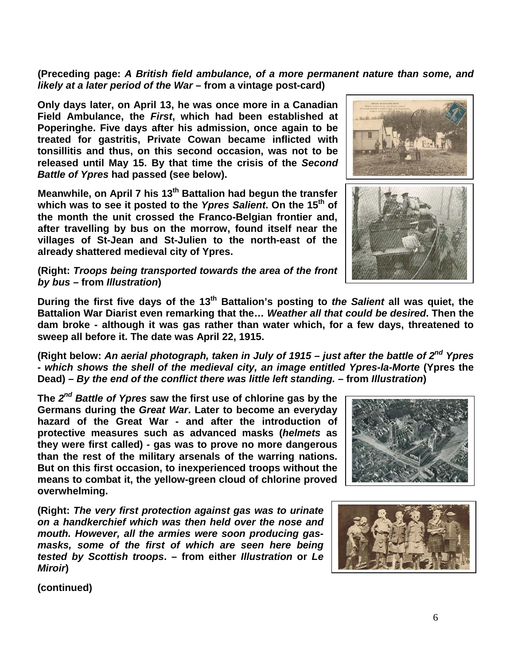**(Preceding page:** *A British field ambulance, of a more permanent nature than some, and likely at a later period of the War* **– from a vintage post-card)**

**Only days later, on April 13, he was once more in a Canadian Field Ambulance, the** *First***, which had been established at Poperinghe. Five days after his admission, once again to be treated for gastritis, Private Cowan became inflicted with tonsillitis and thus, on this second occasion, was not to be released until May 15. By that time the crisis of the** *Second Battle of Ypres* **had passed (see below).**

**Meanwhile, on April 7 his 13th Battalion had begun the transfer which was to see it posted to the** *Ypres Salient***. On the 15th of the month the unit crossed the Franco-Belgian frontier and, after travelling by bus on the morrow, found itself near the villages of St-Jean and St-Julien to the north-east of the already shattered medieval city of Ypres.**

**(Right:** *Troops being transported towards the area of the front by bus* **– from** *Illustration***)**

**During the first five days of the 13th Battalion's posting to** *the Salient* **all was quiet, the Battalion War Diarist even remarking that the…** *Weather all that could be desired***. Then the dam broke - although it was gas rather than water which, for a few days, threatened to sweep all before it. The date was April 22, 1915.**

**(Right below:** *An aerial photograph, taken in July of 1915 – just after the battle of 2nd Ypres - which shows the shell of the medieval city, an image entitled Ypres-la-Morte* **(Ypres the Dead)** *– By the end of the conflict there was little left standing. –* **from** *Illustration***)**

**The** *2nd Battle of Ypres* **saw the first use of chlorine gas by the Germans during the** *Great War***. Later to become an everyday than the rest of the military arsenals of the warring nations. But on this first occasion, to inexperienced troops without the means to combat it, the yellow-green cloud of chlorine proved overwhelming.**

**(Right:** *The very first protection against gas was to urinate on a handkerchief which was then held over the nose and mouth. However, all the armies were soon producing gasmasks, some of the first of which are seen here being tested by Scottish troops***. – from either** *Illustration* **or** *Le Miroir***)**

**(continued)**

**hazard of the Great War - and after the introduction of protective measures such as advanced masks (***helmets* **as they were first called) - gas was to prove no more dangerous** 



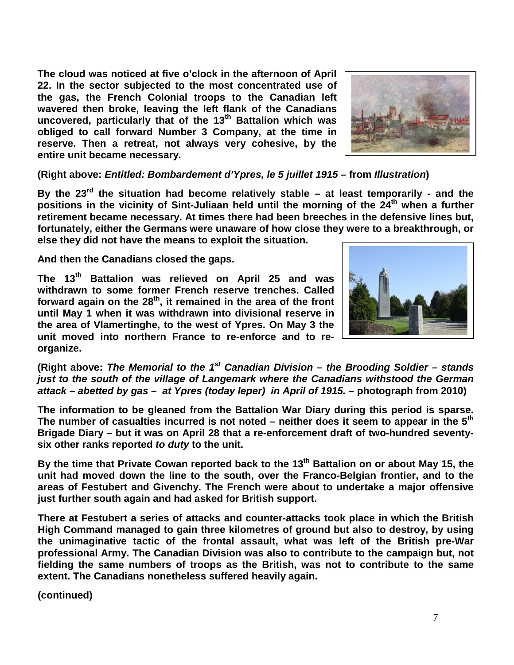**The cloud was noticed at five o'clock in the afternoon of April 22. In the sector subjected to the most concentrated use of the gas, the French Colonial troops to the Canadian left wavered then broke, leaving the left flank of the Canadians uncovered, particularly that of the 13th Battalion which was obliged to call forward Number 3 Company, at the time in reserve. Then a retreat, not always very cohesive, by the entire unit became necessary.**



**(Right above:** *Entitled: Bombardement d'Ypres, le 5 juillet 1915* **– from** *Illustration***)**

**By the 23rd the situation had become relatively stable – at least temporarily - and the**  positions in the vicinity of Sint-Juliaan held until the morning of the 24<sup>th</sup> when a further **retirement became necessary. At times there had been breeches in the defensive lines but, fortunately, either the Germans were unaware of how close they were to a breakthrough, or else they did not have the means to exploit the situation.** 

**And then the Canadians closed the gaps.**

**The 13th Battalion was relieved on April 25 and was withdrawn to some former French reserve trenches. Called**  forward again on the 28<sup>th</sup>, it remained in the area of the front **until May 1 when it was withdrawn into divisional reserve in the area of Vlamertinghe, to the west of Ypres. On May 3 the unit moved into northern France to re-enforce and to reorganize.**



**(Right above:** *The Memorial to the 1st Canadian Division – the Brooding Soldier – stands just to the south of the village of Langemark where the Canadians withstood the German attack – abetted by gas – at Ypres (today Ieper) in April of 1915.* **– photograph from 2010)**

**The information to be gleaned from the Battalion War Diary during this period is sparse. The number of casualties incurred is not noted – neither does it seem to appear in the 5th Brigade Diary – but it was on April 28 that a re-enforcement draft of two-hundred seventysix other ranks reported** *to duty* **to the unit.**

**By the time that Private Cowan reported back to the 13th Battalion on or about May 15, the unit had moved down the line to the south, over the Franco-Belgian frontier, and to the areas of Festubert and Givenchy. The French were about to undertake a major offensive just further south again and had asked for British support.**

**There at Festubert a series of attacks and counter-attacks took place in which the British High Command managed to gain three kilometres of ground but also to destroy, by using the unimaginative tactic of the frontal assault, what was left of the British pre-War professional Army. The Canadian Division was also to contribute to the campaign but, not fielding the same numbers of troops as the British, was not to contribute to the same extent. The Canadians nonetheless suffered heavily again.**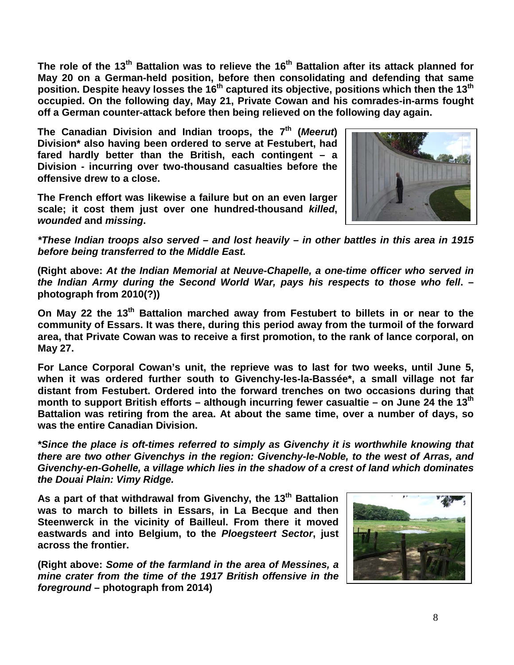**The role of the 13th Battalion was to relieve the 16th Battalion after its attack planned for May 20 on a German-held position, before then consolidating and defending that same position. Despite heavy losses the 16th captured its objective, positions which then the 13th occupied. On the following day, May 21, Private Cowan and his comrades-in-arms fought off a German counter-attack before then being relieved on the following day again.**

**The Canadian Division and Indian troops, the 7th (***Meerut***) Division\* also having been ordered to serve at Festubert, had fared hardly better than the British, each contingent – a Division - incurring over two-thousand casualties before the offensive drew to a close.**

**The French effort was likewise a failure but on an even larger scale; it cost them just over one hundred-thousand** *killed***,**  *wounded* **and** *missing***.**



*\*These Indian troops also served – and lost heavily – in other battles in this area in 1915 before being transferred to the Middle East.*

**(Right above:** *At the Indian Memorial at Neuve-Chapelle, a one-time officer who served in the Indian Army during the Second World War, pays his respects to those who fell***. – photograph from 2010(?))**

**On May 22 the 13th Battalion marched away from Festubert to billets in or near to the community of Essars. It was there, during this period away from the turmoil of the forward area, that Private Cowan was to receive a first promotion, to the rank of lance corporal, on May 27.**

**For Lance Corporal Cowan's unit, the reprieve was to last for two weeks, until June 5, when it was ordered further south to Givenchy-les-la-Bassée\*, a small village not far distant from Festubert. Ordered into the forward trenches on two occasions during that month to support British efforts – although incurring fewer casualtie – on June 24 the 13th Battalion was retiring from the area. At about the same time, over a number of days, so was the entire Canadian Division.**

*\*Since the place is oft-times referred to simply as Givenchy it is worthwhile knowing that there are two other Givenchys in the region: Givenchy-le-Noble, to the west of Arras, and Givenchy-en-Gohelle, a village which lies in the shadow of a crest of land which dominates the Douai Plain: Vimy Ridge.*

As a part of that withdrawal from Givenchy, the 13<sup>th</sup> Battalion **was to march to billets in Essars, in La Becque and then Steenwerck in the vicinity of Bailleul. From there it moved eastwards and into Belgium, to the** *Ploegsteert Sector***, just across the frontier.**

**(Right above:** *Some of the farmland in the area of Messines, a mine crater from the time of the 1917 British offensive in the foreground* **– photograph from 2014)**

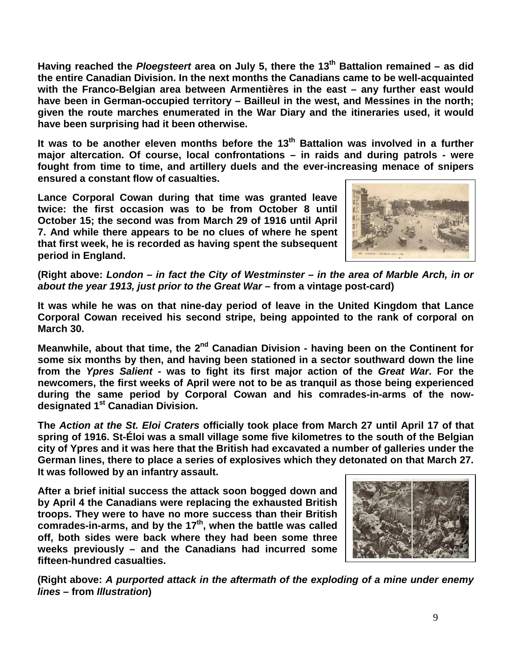**Having reached the** *Ploegsteert* **area on July 5, there the 13th Battalion remained – as did the entire Canadian Division. In the next months the Canadians came to be well-acquainted with the Franco-Belgian area between Armentières in the east – any further east would have been in German-occupied territory – Bailleul in the west, and Messines in the north; given the route marches enumerated in the War Diary and the itineraries used, it would have been surprising had it been otherwise.** 

**It was to be another eleven months before the 13th Battalion was involved in a further major altercation. Of course, local confrontations – in raids and during patrols - were fought from time to time, and artillery duels and the ever-increasing menace of snipers ensured a constant flow of casualties.**

**Lance Corporal Cowan during that time was granted leave twice: the first occasion was to be from October 8 until October 15; the second was from March 29 of 1916 until April 7. And while there appears to be no clues of where he spent that first week, he is recorded as having spent the subsequent period in England.**



**(Right above:** *London – in fact the City of Westminster – in the area of Marble Arch, in or about the year 1913, just prior to the Great War* **– from a vintage post-card)**

**It was while he was on that nine-day period of leave in the United Kingdom that Lance Corporal Cowan received his second stripe, being appointed to the rank of corporal on March 30.**

**Meanwhile, about that time, the 2nd Canadian Division - having been on the Continent for some six months by then, and having been stationed in a sector southward down the line from the** *Ypres Salient* **- was to fight its first major action of the** *Great War***. For the newcomers, the first weeks of April were not to be as tranquil as those being experienced during the same period by Corporal Cowan and his comrades-in-arms of the nowdesignated 1st Canadian Division.**

**The** *Action at the St. Eloi Craters* **officially took place from March 27 until April 17 of that spring of 1916. St-Éloi was a small village some five kilometres to the south of the Belgian city of Ypres and it was here that the British had excavated a number of galleries under the German lines, there to place a series of explosives which they detonated on that March 27. It was followed by an infantry assault.**

**After a brief initial success the attack soon bogged down and by April 4 the Canadians were replacing the exhausted British troops. They were to have no more success than their British comrades-in-arms, and by the 17th, when the battle was called off, both sides were back where they had been some three weeks previously – and the Canadians had incurred some fifteen-hundred casualties.**



**(Right above:** *A purported attack in the aftermath of the exploding of a mine under enemy lines* **– from** *Illustration***)**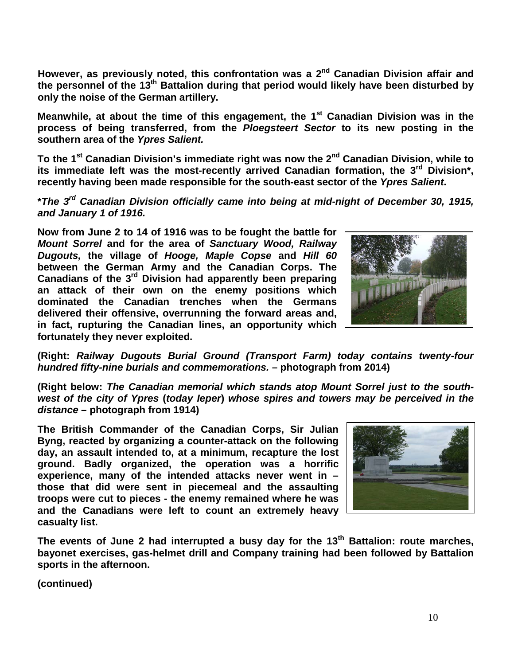**However, as previously noted, this confrontation was a 2nd Canadian Division affair and the personnel of the 13th Battalion during that period would likely have been disturbed by only the noise of the German artillery.**

Meanwhile, at about the time of this engagement, the 1<sup>st</sup> Canadian Division was in the **process of being transferred, from the** *Ploegsteert Sector* **to its new posting in the southern area of the** *Ypres Salient.*

**To the 1st Canadian Division's immediate right was now the 2nd Canadian Division, while to its immediate left was the most-recently arrived Canadian formation, the 3rd Division\*, recently having been made responsible for the south-east sector of the** *Ypres Salient***.**

**\****The 3rd Canadian Division officially came into being at mid-night of December 30, 1915, and January 1 of 1916.* 

**Now from June 2 to 14 of 1916 was to be fought the battle for**  *Mount Sorrel* **and for the area of** *Sanctuary Wood, Railway Dugouts,* **the village of** *Hooge, Maple Copse* **and** *Hill 60* **between the German Army and the Canadian Corps. The Canadians of the 3rd Division had apparently been preparing an attack of their own on the enemy positions which dominated the Canadian trenches when the Germans delivered their offensive, overrunning the forward areas and, in fact, rupturing the Canadian lines, an opportunity which fortunately they never exploited.**



**(Right:** *Railway Dugouts Burial Ground (Transport Farm) today contains twenty-four hundred fifty-nine burials and commemorations.* **– photograph from 2014)**

**(Right below:** *The Canadian memorial which stands atop Mount Sorrel just to the southwest of the city of Ypres* **(***today Ieper***)** *whose spires and towers may be perceived in the distance* **– photograph from 1914)**

**The British Commander of the Canadian Corps, Sir Julian Byng, reacted by organizing a counter-attack on the following day, an assault intended to, at a minimum, recapture the lost ground. Badly organized, the operation was a horrific experience, many of the intended attacks never went in – those that did were sent in piecemeal and the assaulting troops were cut to pieces - the enemy remained where he was and the Canadians were left to count an extremely heavy casualty list.**



**The events of June 2 had interrupted a busy day for the 13th Battalion: route marches, bayonet exercises, gas-helmet drill and Company training had been followed by Battalion sports in the afternoon.**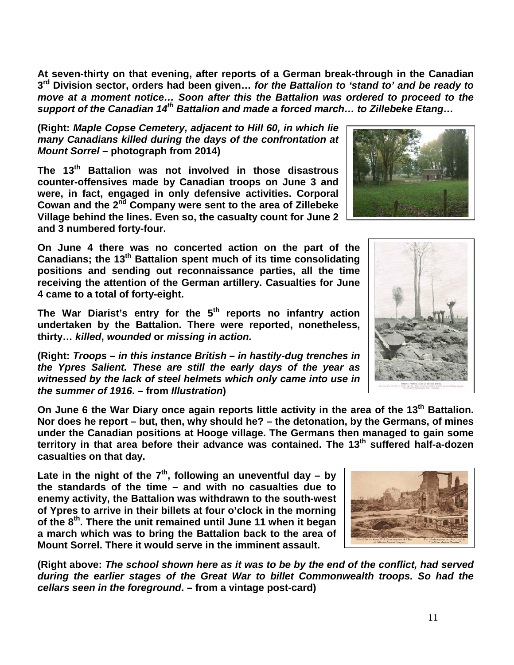11

**At seven-thirty on that evening, after reports of a German break-through in the Canadian 3rd Division sector, orders had been given…** *for the Battalion to 'stand to' and be ready to move at a moment notice… Soon after this the Battalion was ordered to proceed to the support of the Canadian 14th Battalion and made a forced march… to Zillebeke Etang…*

## **(Right:** *Maple Copse Cemetery, adjacent to Hill 60, in which lie many Canadians killed during the days of the confrontation at Mount Sorrel* **– photograph from 2014)**

**The 13th Battalion was not involved in those disastrous counter-offensives made by Canadian troops on June 3 and were, in fact, engaged in only defensive activities. Corporal Cowan and the 2nd Company were sent to the area of Zillebeke Village behind the lines. Even so, the casualty count for June 2 and 3 numbered forty-four.**

**On June 4 there was no concerted action on the part of the Canadians; the 13th Battalion spent much of its time consolidating positions and sending out reconnaissance parties, all the time receiving the attention of the German artillery. Casualties for June 4 came to a total of forty-eight.**

**The War Diarist's entry for the 5th reports no infantry action undertaken by the Battalion. There were reported, nonetheless, thirty…** *killed***,** *wounded* **or** *missing in action.*

**(Right:** *Troops – in this instance British – in hastily-dug trenches in the Ypres Salient. These are still the early days of the year as witnessed by the lack of steel helmets which only came into use in the summer of 1916***. – from** *Illustration***)**

**On June 6 the War Diary once again reports little activity in the area of the 13th Battalion. Nor does he report – but, then, why should he? – the detonation, by the Germans, of mines under the Canadian positions at Hooge village. The Germans then managed to gain some territory in that area before their advance was contained. The 13th suffered half-a-dozen casualties on that day.**

Late in the night of the  $7<sup>th</sup>$ , following an uneventful day – by **the standards of the time – and with no casualties due to enemy activity, the Battalion was withdrawn to the south-west of Ypres to arrive in their billets at four o'clock in the morning of the 8th. There the unit remained until June 11 when it began a march which was to bring the Battalion back to the area of Mount Sorrel. There it would serve in the imminent assault.**

**(Right above:** *The school shown here as it was to be by the end of the conflict, had served during the earlier stages of the Great War to billet Commonwealth troops. So had the cellars seen in the foreground***. – from a vintage post-card)**



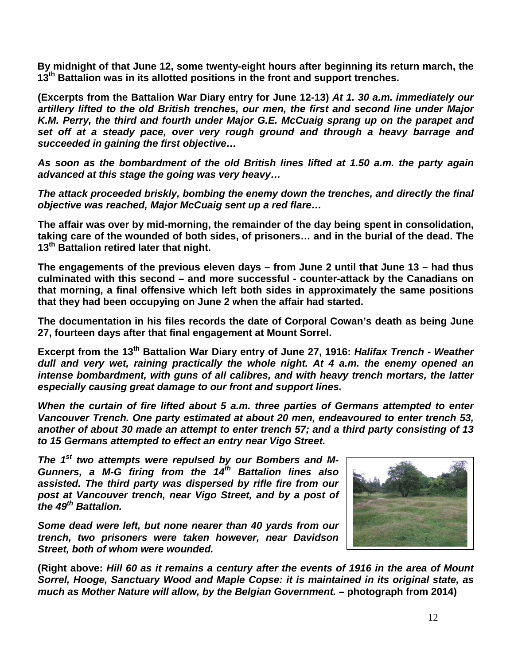**By midnight of that June 12, some twenty-eight hours after beginning its return march, the 13th Battalion was in its allotted positions in the front and support trenches.**

**(Excerpts from the Battalion War Diary entry for June 12-13)** *At 1. 30 a.m. immediately our artillery lifted to the old British trenches, our men, the first and second line under Major K.M. Perry, the third and fourth under Major G.E. McCuaig sprang up on the parapet and set off at a steady pace, over very rough ground and through a heavy barrage and succeeded in gaining the first objective…*

*As soon as the bombardment of the old British lines lifted at 1.50 a.m. the party again advanced at this stage the going was very heavy…*

*The attack proceeded briskly, bombing the enemy down the trenches, and directly the final objective was reached, Major McCuaig sent up a red flare…*

**The affair was over by mid-morning, the remainder of the day being spent in consolidation, taking care of the wounded of both sides, of prisoners… and in the burial of the dead. The 13th Battalion retired later that night.**

**The engagements of the previous eleven days – from June 2 until that June 13 – had thus culminated with this second – and more successful - counter-attack by the Canadians on that morning, a final offensive which left both sides in approximately the same positions that they had been occupying on June 2 when the affair had started.**

**The documentation in his files records the date of Corporal Cowan's death as being June 27, fourteen days after that final engagement at Mount Sorrel.** 

**Excerpt from the 13th Battalion War Diary entry of June 27, 1916:** *Halifax Trench - Weather dull and very wet, raining practically the whole night. At 4 a.m. the enemy opened an intense bombardment, with guns of all calibres, and with heavy trench mortars, the latter especially causing great damage to our front and support lines.*

*When the curtain of fire lifted about 5 a.m. three parties of Germans attempted to enter Vancouver Trench. One party estimated at about 20 men, endeavoured to enter trench 53, another of about 30 made an attempt to enter trench 57; and a third party consisting of 13 to 15 Germans attempted to effect an entry near Vigo Street.*

The 1<sup>st</sup> two attempts were repulsed by our Bombers and M-*Gunners, a M-G firing from the 14th Battalion lines also assisted. The third party was dispersed by rifle fire from our post at Vancouver trench, near Vigo Street, and by a post of the 49th Battalion.*

*Some dead were left, but none nearer than 40 yards from our trench, two prisoners were taken however, near Davidson Street, both of whom were wounded.*



**(Right above:** *Hill 60 as it remains a century after the events of 1916 in the area of Mount Sorrel, Hooge, Sanctuary Wood and Maple Copse: it is maintained in its original state, as much as Mother Nature will allow, by the Belgian Government.* **– photograph from 2014)**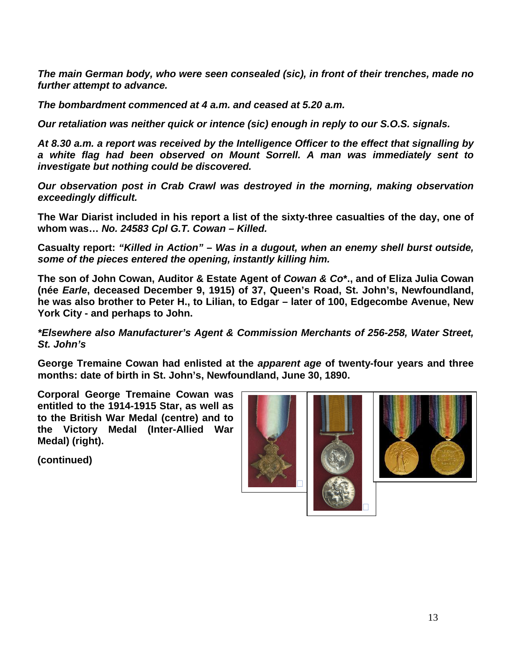*The main German body, who were seen consealed (sic), in front of their trenches, made no further attempt to advance.*

*The bombardment commenced at 4 a.m. and ceased at 5.20 a.m.*

*Our retaliation was neither quick or intence (sic) enough in reply to our S.O.S. signals.*

*At 8.30 a.m. a report was received by the Intelligence Officer to the effect that signalling by a white flag had been observed on Mount Sorrell. A man was immediately sent to investigate but nothing could be discovered.*

*Our observation post in Crab Crawl was destroyed in the morning, making observation exceedingly difficult.*

**The War Diarist included in his report a list of the sixty-three casualties of the day, one of whom was…** *No. 24583 Cpl G.T. Cowan – Killed.*

**Casualty report:** *"Killed in Action" – Was in a dugout, when an enemy shell burst outside, some of the pieces entered the opening, instantly killing him.*

**The son of John Cowan, Auditor & Estate Agent of** *Cowan & Co***\*., and of Eliza Julia Cowan (née** *Earle***, deceased December 9, 1915) of 37, Queen's Road, St. John's, Newfoundland, he was also brother to Peter H., to Lilian, to Edgar – later of 100, Edgecombe Avenue, New York City - and perhaps to John.** 

*\*Elsewhere also Manufacturer's Agent & Commission Merchants of 256-258, Water Street, St. John's*

**George Tremaine Cowan had enlisted at the** *apparent age* **of twenty-four years and three months: date of birth in St. John's, Newfoundland, June 30, 1890.**

**Corporal George Tremaine Cowan was entitled to the 1914-1915 Star, as well as to the British War Medal (centre) and to the Victory Medal (Inter-Allied War Medal) (right).**

**(continued)**





 $\Box$